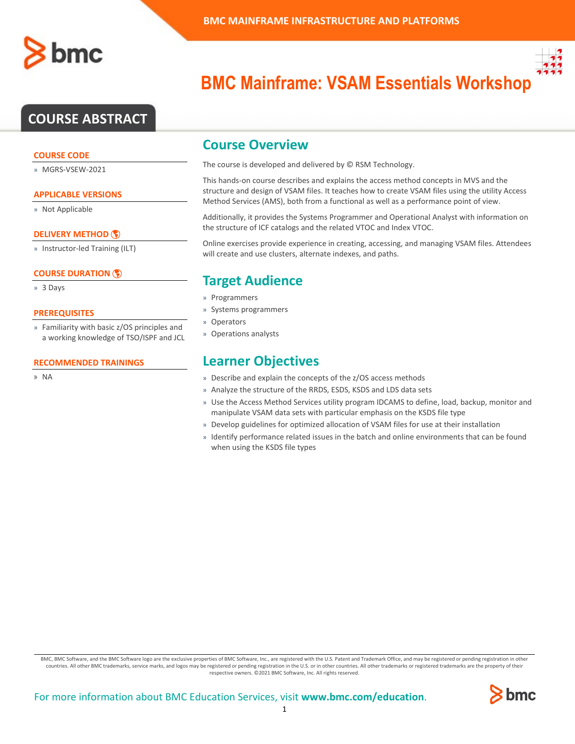## **COURSE ABSTRACT**

#### **COURSE CODE**

» MGRS-VSEW-2021

### **APPLICABLE VERSIONS**

» Not Applicable

### **[DELIVERY METHOD](http://www.bmc.com/education/modality.html)**

» Instructor-led Training (ILT)

### **[COURSE DURATION](http://www.bmc.com/education/learning-paths/education-filters-learning-paths.html)**

» 3 Days

#### **PREREQUISITES**

» Familiarity with basic z/OS principles and a working knowledge of TSO/ISPF and JCL

#### **RECOMMENDED TRAININGS**

» NA



# **BMC Mainframe: VSAM Essentials Workshop**

### **Course Overview**

The course is developed and delivered by © RSM Technology.

This hands-on course describes and explains the access method concepts in MVS and the structure and design of VSAM files. It teaches how to create VSAM files using the utility Access Method Services (AMS), both from a functional as well as a performance point of view.

Additionally, it provides the Systems Programmer and Operational Analyst with information on the structure of ICF catalogs and the related VTOC and Index VTOC.

Online exercises provide experience in creating, accessing, and managing VSAM files. Attendees will create and use clusters, alternate indexes, and paths.

## **Target Audience**

- » Programmers
- » Systems programmers
- » Operators
- » Operations analysts

### **Learner Objectives**

- » Describe and explain the concepts of the z/OS access methods
- » Analyze the structure of the RRDS, ESDS, KSDS and LDS data sets
- » Use the Access Method Services utility program IDCAMS to define, load, backup, monitor and manipulate VSAM data sets with particular emphasis on the KSDS file type
- » Develop guidelines for optimized allocation of VSAM files for use at their installation
- » Identify performance related issues in the batch and online environments that can be found when using the KSDS file types

BMC, BMC Software, and the BMC Software logo are the exclusive properties of BMC Software, Inc., are registered with the U.S. Patent and Trademark Office, and may be registered or pending registration in other countries. All other BMC trademarks, service marks, and logos may be registered or pending registration in the U.S. or in other countries. All other trademarks or registered trademarks are the property of their respective owners. ©2021 BMC Software, Inc. All rights reserved.

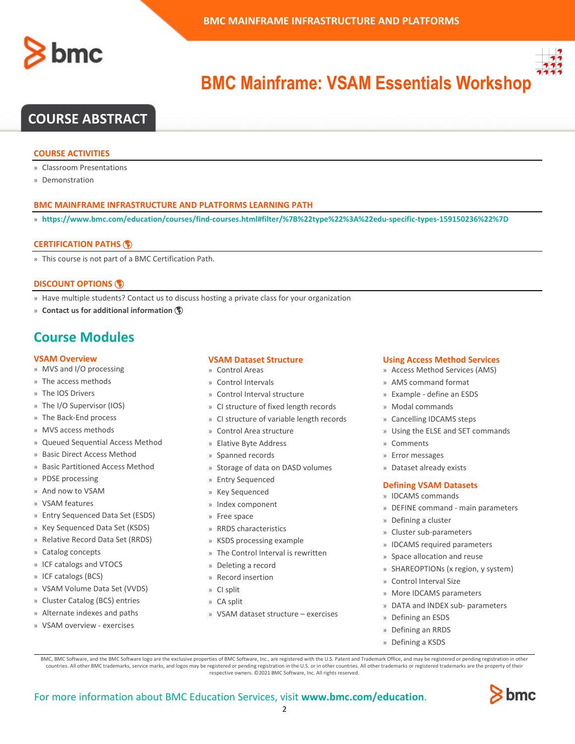



# **BMC Mainframe: VSAM Essentials Workshop**

## **COURSE ABSTRACT**

#### **COURSE ACTIVITIES**

- » Classroom Presentations
- » Demonstration

#### **BMC MAINFRAME INFRASTRUCTURE AND PLATFORMS LEARNING PATH**

» **<https://www.bmc.com/education/courses/find-courses.html#filter/%7B%22type%22%3A%22edu-specific-types-159150236%22%7D>**

#### **[CERTIFICATION PATHS](http://www.bmc.com/education/certification-programs)**

» This course is not part of a BMC Certification Path.

#### **[DISCOUNT OPTIONS](http://www.bmc.com/education/customer-service/customer-service.html)**

- » Have multiple students? Contact us to discuss hosting a private class for your organization
- » **[Contact us for additional information](http://www.bmc.com/education)**

### **Course Modules**

#### **VSAM Overview**

- » MVS and I/O processing
- » The access methods
- » The IOS Drivers
- » The I/O Supervisor (IOS)
- » The Back-End process
- » MVS access methods
- » Queued Sequential Access Method
- » Basic Direct Access Method
- » Basic Partitioned Access Method
- » PDSE processing
- » And now to VSAM
- » VSAM features
- » Entry Sequenced Data Set (ESDS)
- » Key Sequenced Data Set (KSDS)
- » Relative Record Data Set (RRDS)
- » Catalog concepts
- » ICF catalogs and VTOCS
- » ICF catalogs (BCS)
- » VSAM Volume Data Set (VVDS)
- » Cluster Catalog (BCS) entries
- » Alternate indexes and paths
- » VSAM overview exercises

#### **VSAM Dataset Structure**

- » Control Areas
- » Control Intervals
- » Control Interval structure
- » CI structure of fixed length records
- » CI structure of variable length records
- » Control Area structure
- » Elative Byte Address
- » Spanned records
- » Storage of data on DASD volumes
- » Entry Sequenced
- » Key Sequenced
- » Index component
- » Free space
- » RRDS characteristics
- » KSDS processing example
- » The Control Interval is rewritten
- » Deleting a record
- » Record insertion
- » CI split
- » CA split
- » VSAM dataset structure exercises

#### **Using Access Method Services**

- » Access Method Services (AMS)
- » AMS command format
- » Example define an ESDS
- » Modal commands
- » Cancelling IDCAMS steps
- » Using the ELSE and SET commands
- » Comments
- » Error messages
- » Dataset already exists

#### **Defining VSAM Datasets**

- » IDCAMS commands
- » DEFINE command main parameters
- » Defining a cluster
- » Cluster sub-parameters
- » IDCAMS required parameters
- » Space allocation and reuse
- » SHAREOPTIONs (x region, y system)
- » Control Interval Size
- » More IDCAMS parameters
- » DATA and INDEX sub- parameters
- » Defining an ESDS
- » Defining an RRDS
- » Defining a KSDS

BMC, BMC Software, and the BMC Software logo are the exclusive properties of BMC Software, Inc., are registered with the U.S. Patent and Trademark Office, and may be registered or pending registration in other countries. All other BMC trademarks, service marks, and logos may be registered or pending registration in the U.S. or in other countries. All other trademarks or registered trademarks are the property of their respective owners. ©2021 BMC Software, Inc. All rights reserved.

 $\mathfrak{Z}$